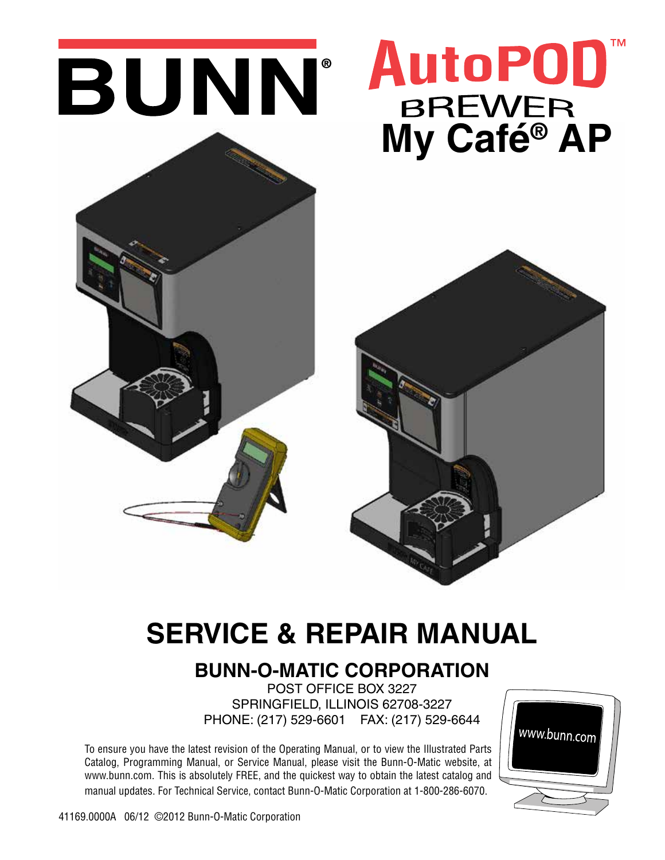

# **SERVICE & REPAIR MANUAL**

# **BUNN-O-MATIC CORPORATION**

POST OFFICE BOX 3227 SPRINGFIELD, ILLINOIS 62708-3227 PHONE: (217) 529-6601 FAX: (217) 529-6644

To ensure you have the latest revision of the Operating Manual, or to view the Illustrated Parts Catalog, Programming Manual, or Service Manual, please visit the Bunn-O-Matic website, at www.bunn.com. This is absolutely FREE, and the quickest way to obtain the latest catalog and manual updates. For Technical Service, contact Bunn-O-Matic Corporation at 1-800-286-6070.

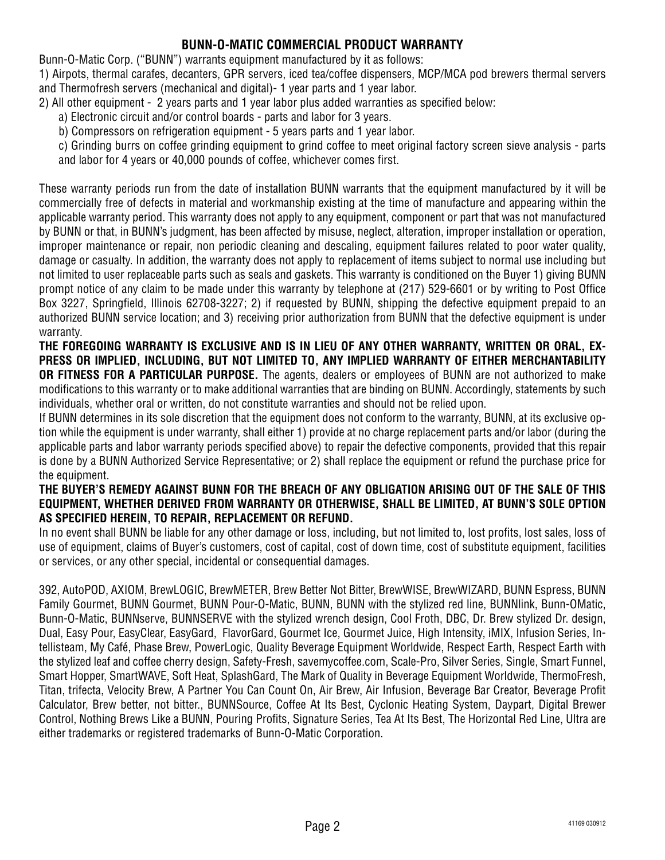# **BUNN-O-MATIC COMMERCIAL PRODUCT WARRANTY**

Bunn-O-Matic Corp. ("BUNN") warrants equipment manufactured by it as follows:

1) Airpots, thermal carafes, decanters, GPR servers, iced tea/coffee dispensers, MCP/MCA pod brewers thermal servers and Thermofresh servers (mechanical and digital)- 1 year parts and 1 year labor.

- 2) All other equipment 2 years parts and 1 year labor plus added warranties as specified below:
	- a) Electronic circuit and/or control boards parts and labor for 3 years.
	- b) Compressors on refrigeration equipment 5 years parts and 1 year labor.
	- c) Grinding burrs on coffee grinding equipment to grind coffee to meet original factory screen sieve analysis parts and labor for 4 years or 40,000 pounds of coffee, whichever comes first.

These warranty periods run from the date of installation BUNN warrants that the equipment manufactured by it will be commercially free of defects in material and workmanship existing at the time of manufacture and appearing within the applicable warranty period. This warranty does not apply to any equipment, component or part that was not manufactured by BUNN or that, in BUNN's judgment, has been affected by misuse, neglect, alteration, improper installation or operation, improper maintenance or repair, non periodic cleaning and descaling, equipment failures related to poor water quality, damage or casualty. In addition, the warranty does not apply to replacement of items subject to normal use including but not limited to user replaceable parts such as seals and gaskets. This warranty is conditioned on the Buyer 1) giving BUNN prompt notice of any claim to be made under this warranty by telephone at (217) 529-6601 or by writing to Post Office Box 3227, Springfield, Illinois 62708-3227; 2) if requested by BUNN, shipping the defective equipment prepaid to an authorized BUNN service location; and 3) receiving prior authorization from BUNN that the defective equipment is under warranty.

#### **THE FOREGOING WARRANTY IS EXCLUSIVE AND IS IN LIEU OF ANY OTHER WARRANTY, WRITTEN OR ORAL, EX-PRESS OR IMPLIED, INCLUDING, BUT NOT LIMITED TO, ANY IMPLIED WARRANTY OF EITHER MERCHANTABILITY OR FITNESS FOR A PARTICULAR PURPOSE.** The agents, dealers or employees of BUNN are not authorized to make modifications to this warranty or to make additional warranties that are binding on BUNN. Accordingly, statements by such individuals, whether oral or written, do not constitute warranties and should not be relied upon.

If BUNN determines in its sole discretion that the equipment does not conform to the warranty, BUNN, at its exclusive option while the equipment is under warranty, shall either 1) provide at no charge replacement parts and/or labor (during the applicable parts and labor warranty periods specified above) to repair the defective components, provided that this repair is done by a BUNN Authorized Service Representative; or 2) shall replace the equipment or refund the purchase price for the equipment.

#### **THE BUYER'S REMEDY AGAINST BUNN FOR THE BREACH OF ANY OBLIGATION ARISING OUT OF THE SALE OF THIS EQUIPMENT, WHETHER DERIVED FROM WARRANTY OR OTHERWISE, SHALL BE LIMITED, AT BUNN'S SOLE OPTION AS SPECIFIED HEREIN, TO REPAIR, REPLACEMENT OR REFUND.**

In no event shall BUNN be liable for any other damage or loss, including, but not limited to, lost profits, lost sales, loss of use of equipment, claims of Buyer's customers, cost of capital, cost of down time, cost of substitute equipment, facilities or services, or any other special, incidental or consequential damages.

392, AutoPOD, AXIOM, BrewLOGIC, BrewMETER, Brew Better Not Bitter, BrewWISE, BrewWIZARD, BUNN Espress, BUNN Family Gourmet, BUNN Gourmet, BUNN Pour-O-Matic, BUNN, BUNN with the stylized red line, BUNNlink, Bunn-OMatic, Bunn-O-Matic, BUNNserve, BUNNSERVE with the stylized wrench design, Cool Froth, DBC, Dr. Brew stylized Dr. design, Dual, Easy Pour, EasyClear, EasyGard, FlavorGard, Gourmet Ice, Gourmet Juice, High Intensity, iMIX, Infusion Series, Intellisteam, My Café, Phase Brew, PowerLogic, Quality Beverage Equipment Worldwide, Respect Earth, Respect Earth with the stylized leaf and coffee cherry design, Safety-Fresh, savemycoffee.com, Scale-Pro, Silver Series, Single, Smart Funnel, Smart Hopper, SmartWAVE, Soft Heat, SplashGard, The Mark of Quality in Beverage Equipment Worldwide, ThermoFresh, Titan, trifecta, Velocity Brew, A Partner You Can Count On, Air Brew, Air Infusion, Beverage Bar Creator, Beverage Profit Calculator, Brew better, not bitter., BUNNSource, Coffee At Its Best, Cyclonic Heating System, Daypart, Digital Brewer Control, Nothing Brews Like a BUNN, Pouring Profits, Signature Series, Tea At Its Best, The Horizontal Red Line, Ultra are either trademarks or registered trademarks of Bunn-O-Matic Corporation.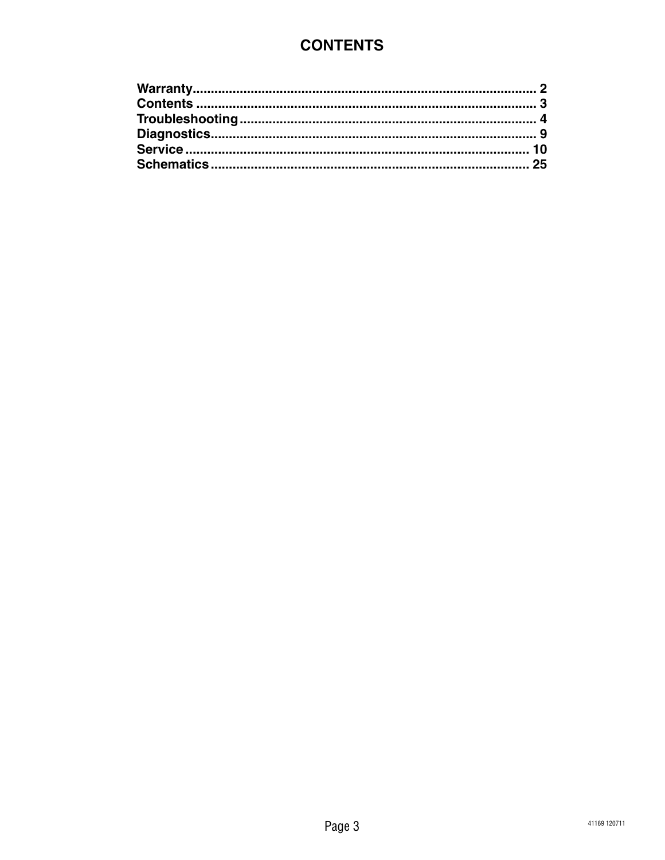# **CONTENTS**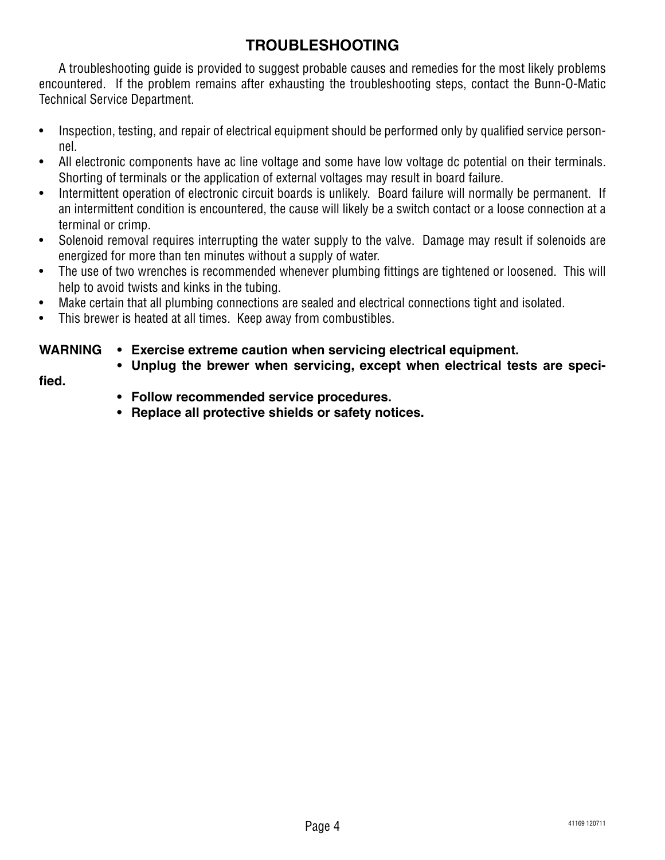# **TROUBLESHOOTING**

A troubleshooting guide is provided to suggest probable causes and remedies for the most likely problems encountered. If the problem remains after exhausting the troubleshooting steps, contact the Bunn-O-Matic Technical Service Department.

- Inspection, testing, and repair of electrical equipment should be performed only by qualified service personnel.
- All electronic components have ac line voltage and some have low voltage dc potential on their terminals. Shorting of terminals or the application of external voltages may result in board failure.
- Intermittent operation of electronic circuit boards is unlikely. Board failure will normally be permanent. If an intermittent condition is encountered, the cause will likely be a switch contact or a loose connection at a terminal or crimp.
- Solenoid removal requires interrupting the water supply to the valve. Damage may result if solenoids are energized for more than ten minutes without a supply of water.
- The use of two wrenches is recommended whenever plumbing fittings are tightened or loosened. This will help to avoid twists and kinks in the tubing.
- Make certain that all plumbing connections are sealed and electrical connections tight and isolated.
- This brewer is heated at all times. Keep away from combustibles.

# **WARNING • Exercise extreme caution when servicing electrical equipment.**

 **• Unplug the brewer when servicing, except when electrical tests are speci-**

**fied.**

- **• Follow recommended service procedures.**
- **• Replace all protective shields or safety notices.**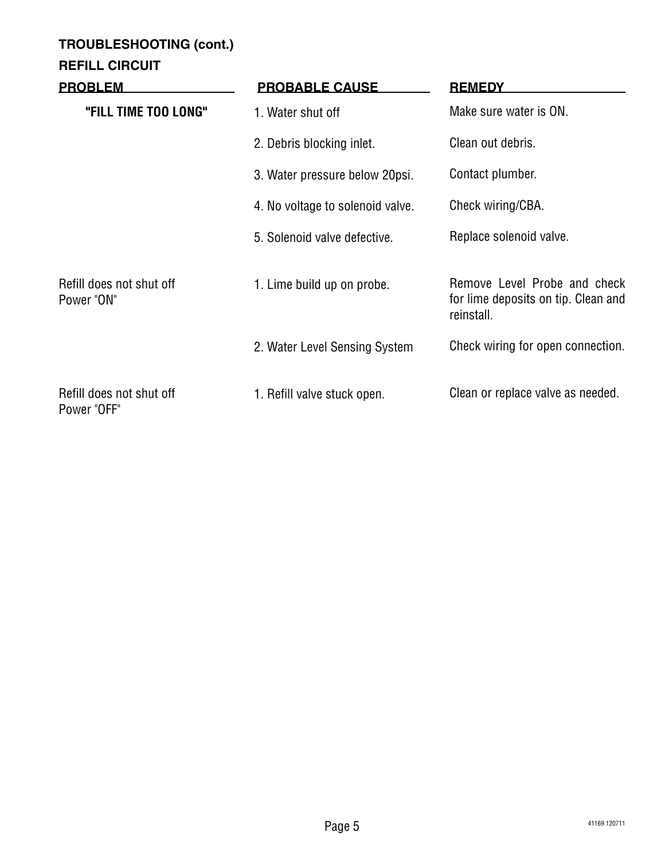# **TROUBLESHOOTING (cont.)**

# **REFILL CIRCUIT**

| <b>PROBLEM</b>                          | <b>PROBABLE CAUSE</b>            | <b>REMEDY</b>                                                                     |
|-----------------------------------------|----------------------------------|-----------------------------------------------------------------------------------|
| "FILL TIME TOO LONG"                    | 1. Water shut off                | Make sure water is ON.                                                            |
|                                         | 2. Debris blocking inlet.        | Clean out debris.                                                                 |
|                                         | 3. Water pressure below 20psi.   | Contact plumber.                                                                  |
|                                         | 4. No voltage to solenoid valve. | Check wiring/CBA.                                                                 |
|                                         | 5. Solenoid valve defective.     | Replace solenoid valve.                                                           |
| Refill does not shut off<br>Power "ON"  | 1. Lime build up on probe.       | Remove Level Probe and check<br>for lime deposits on tip. Clean and<br>reinstall. |
|                                         | 2. Water Level Sensing System    | Check wiring for open connection.                                                 |
| Refill does not shut off<br>Power "OFF" | 1. Refill valve stuck open.      | Clean or replace valve as needed.                                                 |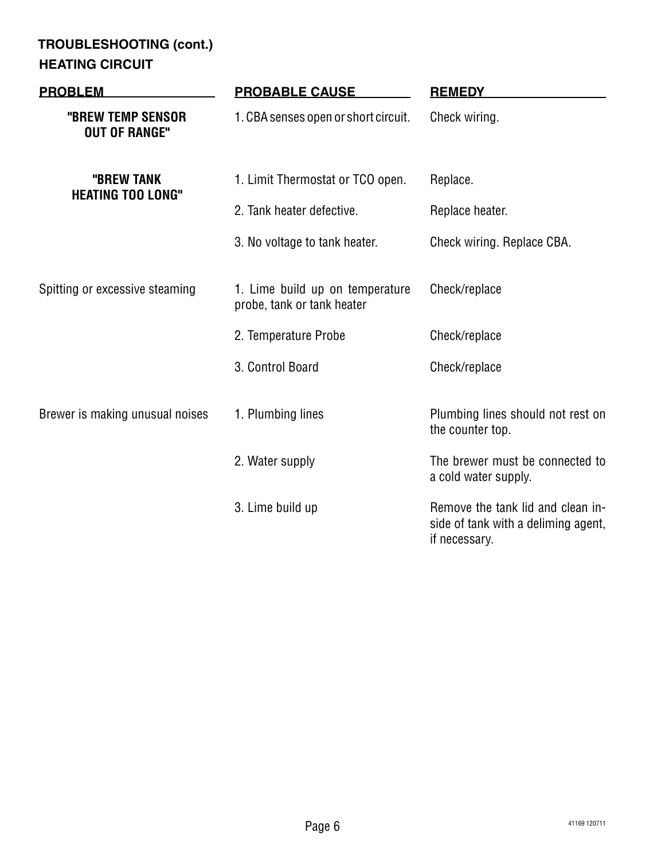# **HEATING CIRCUIT TROUBLESHOOTING (cont.)**

| <b>PROBLEM</b>                            | <b>PROBABLE CAUSE</b>                                         | <b>REMEDY</b>                                                                             |
|-------------------------------------------|---------------------------------------------------------------|-------------------------------------------------------------------------------------------|
| "BREW TEMP SENSOR<br><b>OUT OF RANGE"</b> | 1. CBA senses open or short circuit.                          | Check wiring.                                                                             |
| "BREW TANK<br><b>HEATING TOO LONG"</b>    | 1. Limit Thermostat or TCO open.                              | Replace.                                                                                  |
|                                           | 2. Tank heater defective.                                     | Replace heater.                                                                           |
|                                           | 3. No voltage to tank heater.                                 | Check wiring. Replace CBA.                                                                |
| Spitting or excessive steaming            | 1. Lime build up on temperature<br>probe, tank or tank heater | Check/replace                                                                             |
|                                           | 2. Temperature Probe                                          | Check/replace                                                                             |
|                                           | 3. Control Board                                              | Check/replace                                                                             |
| Brewer is making unusual noises           | 1. Plumbing lines                                             | Plumbing lines should not rest on<br>the counter top.                                     |
|                                           | 2. Water supply                                               | The brewer must be connected to<br>a cold water supply.                                   |
|                                           | 3. Lime build up                                              | Remove the tank lid and clean in-<br>side of tank with a deliming agent,<br>if necessary. |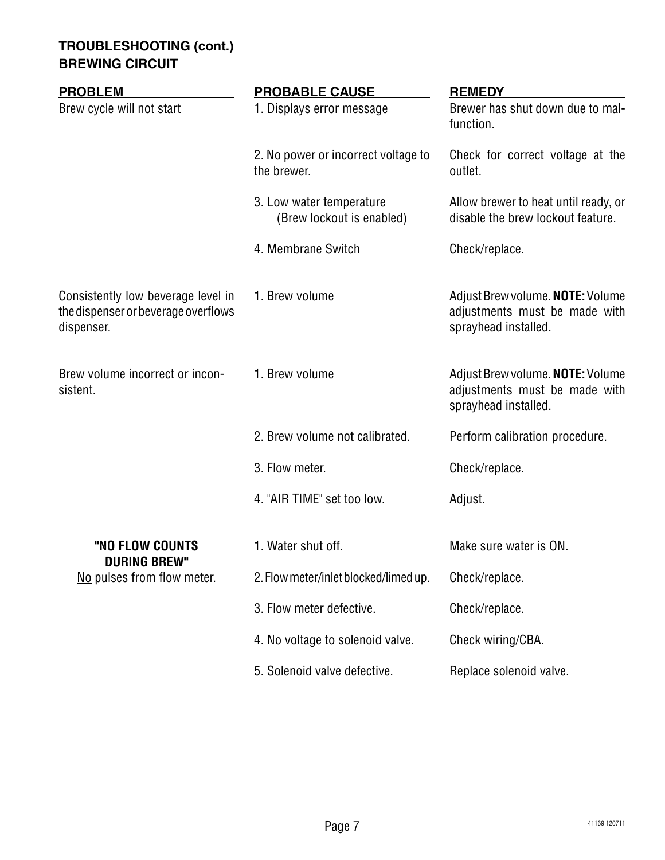# **TROUBLESHOOTING (cont.) BREWING CIRCUIT**

| <b>PROBLEM</b>                                                                          | <b>PROBABLE CAUSE</b>                                 | <b>REMEDY</b>                                                                             |
|-----------------------------------------------------------------------------------------|-------------------------------------------------------|-------------------------------------------------------------------------------------------|
| Brew cycle will not start                                                               | 1. Displays error message                             | Brewer has shut down due to mal-<br>function.                                             |
|                                                                                         | 2. No power or incorrect voltage to<br>the brewer.    | Check for correct voltage at the<br>outlet.                                               |
|                                                                                         | 3. Low water temperature<br>(Brew lockout is enabled) | Allow brewer to heat until ready, or<br>disable the brew lockout feature.                 |
|                                                                                         | 4. Membrane Switch                                    | Check/replace.                                                                            |
| Consistently low beverage level in<br>the dispenser or beverage overflows<br>dispenser. | 1. Brew volume                                        | Adjust Brew volume. NOTE: Volume<br>adjustments must be made with<br>sprayhead installed. |
| Brew volume incorrect or incon-<br>sistent.                                             | 1. Brew volume                                        | Adjust Brew volume. NOTE: Volume<br>adjustments must be made with<br>sprayhead installed. |
|                                                                                         | 2. Brew volume not calibrated.                        | Perform calibration procedure.                                                            |
|                                                                                         | 3. Flow meter.                                        | Check/replace.                                                                            |
|                                                                                         | 4. "AIR TIME" set too low.                            | Adjust.                                                                                   |
| "NO FLOW COUNTS                                                                         | 1. Water shut off.                                    | Make sure water is ON.                                                                    |
| <b>DURING BREW"</b><br>No pulses from flow meter.                                       | 2. Flow meter/inlet blocked/limed up.                 | Check/replace.                                                                            |
|                                                                                         | 3. Flow meter defective.                              | Check/replace.                                                                            |
|                                                                                         | 4. No voltage to solenoid valve.                      | Check wiring/CBA.                                                                         |
|                                                                                         | 5. Solenoid valve defective.                          | Replace solenoid valve.                                                                   |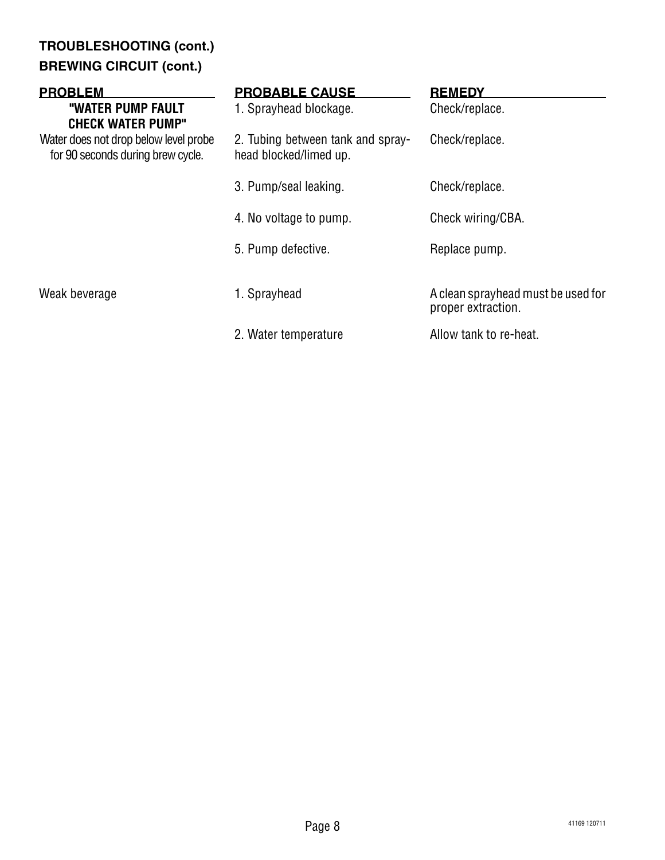# **TROUBLESHOOTING (cont.) BREWING CIRCUIT (cont.)**

| <b>PROBLEM</b><br>"WATER PUMP FAULT<br><b>CHECK WATER PUMP"</b>            | <b>PROBABLE CAUSE</b><br>1. Sprayhead blockage.             | <b>REMEDY</b><br>Check/replace.                          |
|----------------------------------------------------------------------------|-------------------------------------------------------------|----------------------------------------------------------|
| Water does not drop below level probe<br>for 90 seconds during brew cycle. | 2. Tubing between tank and spray-<br>head blocked/limed up. | Check/replace.                                           |
|                                                                            | 3. Pump/seal leaking.                                       | Check/replace.                                           |
|                                                                            | 4. No voltage to pump.                                      | Check wiring/CBA.                                        |
|                                                                            | 5. Pump defective.                                          | Replace pump.                                            |
| Weak beverage                                                              | 1. Sprayhead                                                | A clean sprayhead must be used for<br>proper extraction. |
|                                                                            | 2. Water temperature                                        | Allow tank to re-heat.                                   |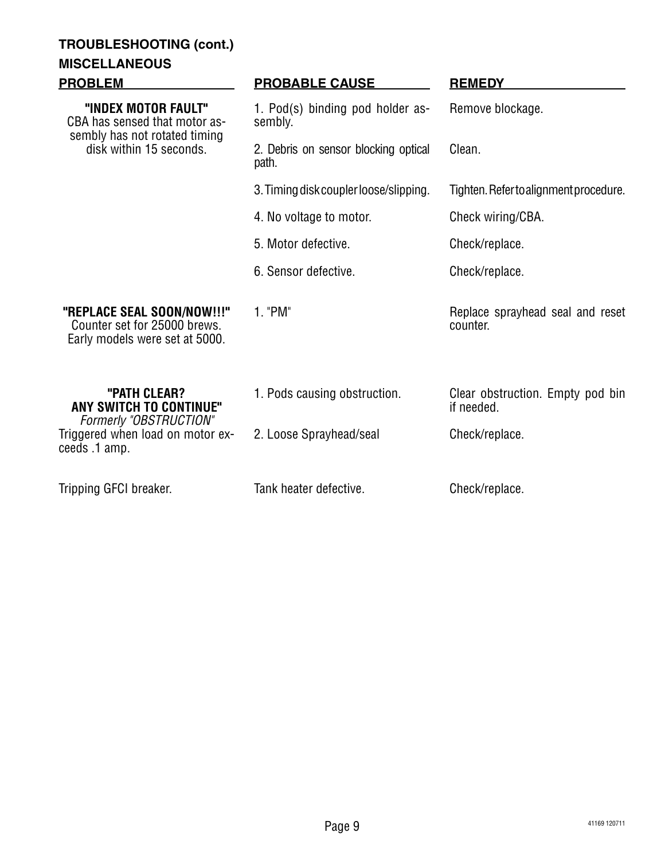# **TROUBLESHOOTING (cont.)**

# **MISCELLANEOUS**

| <b>PROBLEM</b>                                                                                                   | <b>PROBABLE CAUSE</b>                         | <b>REMEDY</b>                                  |
|------------------------------------------------------------------------------------------------------------------|-----------------------------------------------|------------------------------------------------|
| "INDEX MOTOR FAULT"<br>CBA has sensed that motor as-<br>sembly has not rotated timing<br>disk within 15 seconds. | 1. Pod(s) binding pod holder as-<br>sembly.   | Remove blockage.                               |
|                                                                                                                  | 2. Debris on sensor blocking optical<br>path. | Clean.                                         |
|                                                                                                                  | 3. Timing disk coupler loose/slipping.        | Tighten. Refer to alignment procedure.         |
|                                                                                                                  | 4. No voltage to motor.                       | Check wiring/CBA.                              |
|                                                                                                                  | 5. Motor defective.                           | Check/replace.                                 |
|                                                                                                                  | 6. Sensor defective.                          | Check/replace.                                 |
| "REPLACE SEAL SOON/NOW!!!"<br>Counter set for 25000 brews.<br>Early models were set at 5000.                     | 1. "PM"                                       | Replace sprayhead seal and reset<br>counter.   |
| "PATH CLEAR?<br><b>ANY SWITCH TO CONTINUE"</b><br><b>Formerly "OBSTRUCTION"</b>                                  | 1. Pods causing obstruction.                  | Clear obstruction. Empty pod bin<br>if needed. |
| Triggered when load on motor ex-<br>ceeds .1 amp.                                                                | 2. Loose Sprayhead/seal                       | Check/replace.                                 |
| Tripping GFCI breaker.                                                                                           | Tank heater defective.                        | Check/replace.                                 |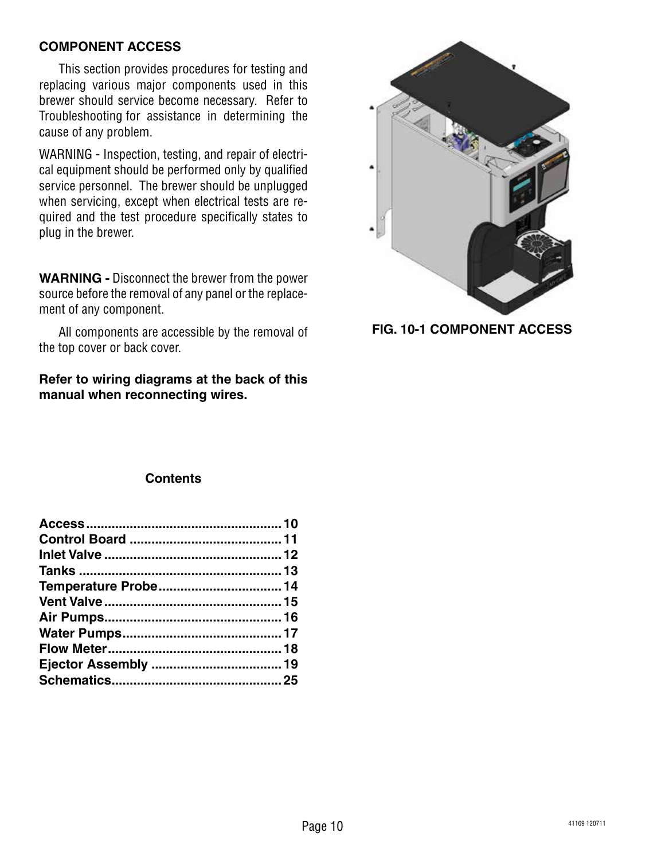# **COMPONENT ACCESS**

This section provides procedures for testing and replacing various major components used in this brewer should service become necessary. Refer to Troubleshooting for assistance in determining the cause of any problem.

WARNING - Inspection, testing, and repair of electrical equipment should be performed only by qualified service personnel. The brewer should be unplugged when servicing, except when electrical tests are required and the test procedure specifically states to plug in the brewer.

**WARNING -** Disconnect the brewer from the power source before the removal of any panel or the replacement of any component.

All components are accessible by the removal of the top cover or back cover.

**Refer to wiring diagrams at the back of this manual when reconnecting wires.**



**FIG. 10-1 COMPONENT ACCESS**

#### **Contents**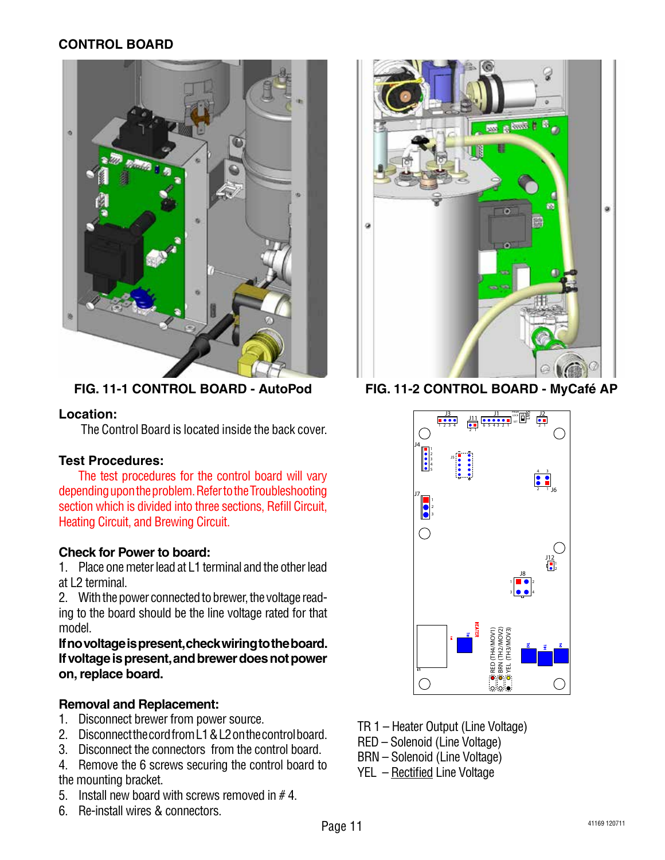# **CONTROL BOARD**



**FIG. 11-1 CONTROL BOARD - AutoPod**

# **Location:**

The Control Board is located inside the back cover.

# **Test Procedures:**

The test procedures for the control board will vary depending upon the problem. Refer to the Troubleshooting section which is divided into three sections, Refill Circuit, Heating Circuit, and Brewing Circuit.

# **Check for Power to board:**

1. Place one meter lead at L1 terminal and the other lead at L2 terminal.

2. With the power connected to brewer, the voltage reading to the board should be the line voltage rated for that model.

**Ifnovoltageispresent,checkwiringtotheboard. Ifvoltageispresent,andbrewerdoesnotpower on,replace board.**

# **Removal and Replacement:**

- 1. Disconnect brewer from power source.
- 2. Disconnect the cord from L1 & L2 on the control board.
- 3. Disconnect the connectors from the control board.

4. Remove the 6 screws securing the control board to the mounting bracket.

- 5. Install new board with screws removed in  $# 4$ .
- 6. Re-install wires & connectors.



**FIG. 11-2 CONTROL BOARD - MyCafé AP**



- TR 1 Heater Output (Line Voltage)
- RED Solenoid (Line Voltage)
- BRN Solenoid (Line Voltage)
- YEL Rectified Line Voltage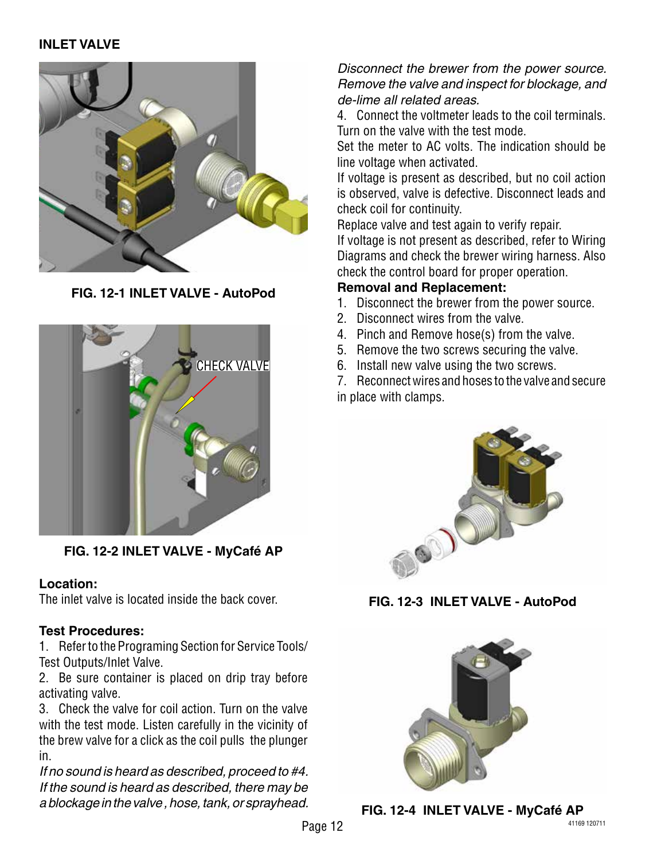#### **INLET VALVE**



**FIG. 12-1 INLET VALVE - AutoPod**



**FIG. 12-2 INLET VALVE - MyCafé AP**

#### **Location:**

The inlet valve is located inside the back cover.

#### **Test Procedures:**

1. Refer to the Programing Section for Service Tools/ Test Outputs/Inlet Valve.

2. Be sure container is placed on drip tray before activating valve.

3. Check the valve for coil action. Turn on the valve with the test mode. Listen carefully in the vicinity of the brew valve for a click as the coil pulls the plunger in.

*If no sound is heard as described, proceed to #4. If the sound is heard as described, there may be a blockage in the valve , hose, tank, or sprayhead.* 

# *Disconnect the brewer from the power source. Remove the valve and inspect for blockage, and de-lime all related areas.*

4. Connect the voltmeter leads to the coil terminals. Turn on the valve with the test mode.

Set the meter to AC volts. The indication should be line voltage when activated.

If voltage is present as described, but no coil action is observed, valve is defective. Disconnect leads and check coil for continuity.

Replace valve and test again to verify repair. If voltage is not present as described, refer to Wiring Diagrams and check the brewer wiring harness. Also check the control board for proper operation.

#### **Removal and Replacement:**

- 1. Disconnect the brewer from the power source.
- 2. Disconnect wires from the valve.
- 4. Pinch and Remove hose(s) from the valve.
- 5. Remove the two screws securing the valve.
- 6. Install new valve using the two screws.

7. Reconnect wires and hoses to the valve and secure in place with clamps.



**FIG. 12-3 INLET VALVE - AutoPod**



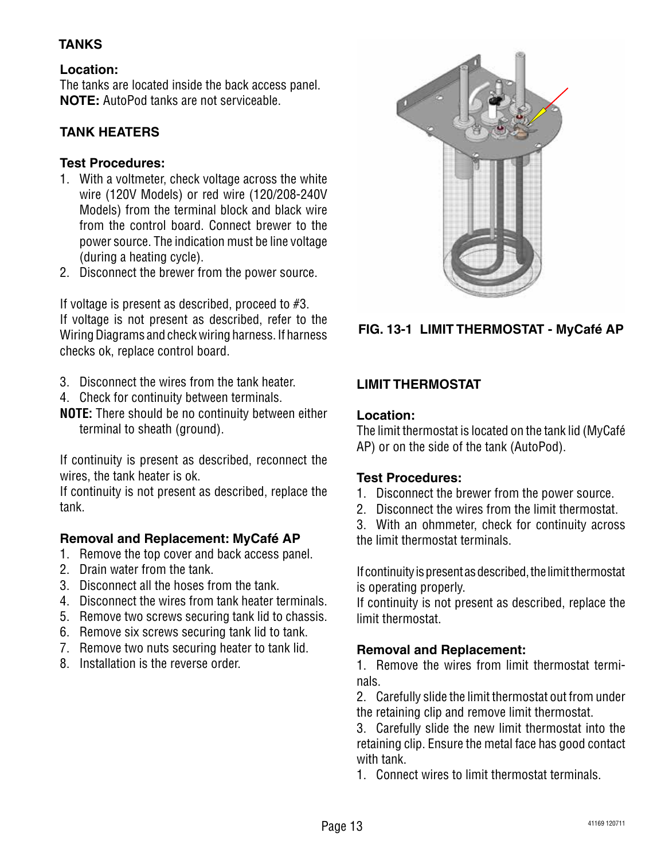# **TANKS**

# **Location:**

The tanks are located inside the back access panel. **NOTE:** AutoPod tanks are not serviceable.

# **TANK HEATERS**

# **Test Procedures:**

- 1. With a voltmeter, check voltage across the white wire (120V Models) or red wire (120/208-240V Models) from the terminal block and black wire from the control board. Connect brewer to the power source. The indication must be line voltage (during a heating cycle).
- 2. Disconnect the brewer from the power source.

If voltage is present as described, proceed to #3. If voltage is not present as described, refer to the Wiring Diagrams and check wiring harness. If harness checks ok, replace control board.

- 3. Disconnect the wires from the tank heater.
- 4. Check for continuity between terminals.
- **NOTE:** There should be no continuity between either terminal to sheath (ground).

If continuity is present as described, reconnect the wires, the tank heater is ok.

If continuity is not present as described, replace the tank.

# **Removal and Replacement: MyCafé AP**

- 1. Remove the top cover and back access panel.
- 2. Drain water from the tank.
- 3. Disconnect all the hoses from the tank.
- 4. Disconnect the wires from tank heater terminals.
- 5. Remove two screws securing tank lid to chassis.
- 6. Remove six screws securing tank lid to tank.
- 7. Remove two nuts securing heater to tank lid.
- 8. Installation is the reverse order.



**FIG. 13-1 LIMIT THERMOSTAT - MyCafé AP**

# **LIMIT THERMOSTAT**

#### **Location:**

The limit thermostat is located on the tank lid (MyCafé AP) or on the side of the tank (AutoPod).

# **Test Procedures:**

- 1. Disconnect the brewer from the power source.
- 2. Disconnect the wires from the limit thermostat.

3. With an ohmmeter, check for continuity across the limit thermostat terminals.

If continuity is present as described, the limit thermostat is operating properly.

If continuity is not present as described, replace the limit thermostat.

# **Removal and Replacement:**

1. Remove the wires from limit thermostat terminals.

2. Carefully slide the limit thermostat out from under the retaining clip and remove limit thermostat.

3. Carefully slide the new limit thermostat into the retaining clip. Ensure the metal face has good contact with tank.

1. Connect wires to limit thermostat terminals.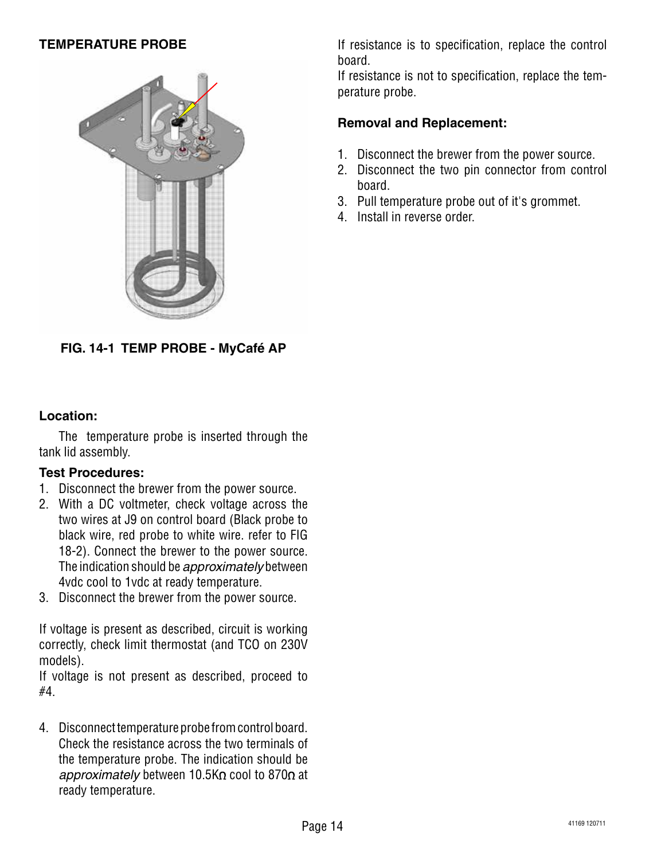# **TEMPERATURE PROBE**



**FIG. 14-1 TEMP PROBE - MyCafé AP**

#### **Location:**

The temperature probe is inserted through the tank lid assembly.

#### **Test Procedures:**

- 1. Disconnect the brewer from the power source.
- 2. With a DC voltmeter, check voltage across the two wires at J9 on control board (Black probe to black wire, red probe to white wire. refer to FIG 18-2). Connect the brewer to the power source. The indication should be *approximately* between 4vdc cool to 1vdc at ready temperature.
- 3. Disconnect the brewer from the power source.

If voltage is present as described, circuit is working correctly, check limit thermostat (and TCO on 230V models).

If voltage is not present as described, proceed to #4.

4. Disconnect temperature probe from control board. Check the resistance across the two terminals of the temperature probe. The indication should be approximately between 10.5KΩ cool to 870Ω at ready temperature.

If resistance is to specification, replace the control board.

If resistance is not to specification, replace the temperature probe.

- 1. Disconnect the brewer from the power source.
- 2. Disconnect the two pin connector from control board.
- 3. Pull temperature probe out of it's grommet.
- 4. Install in reverse order.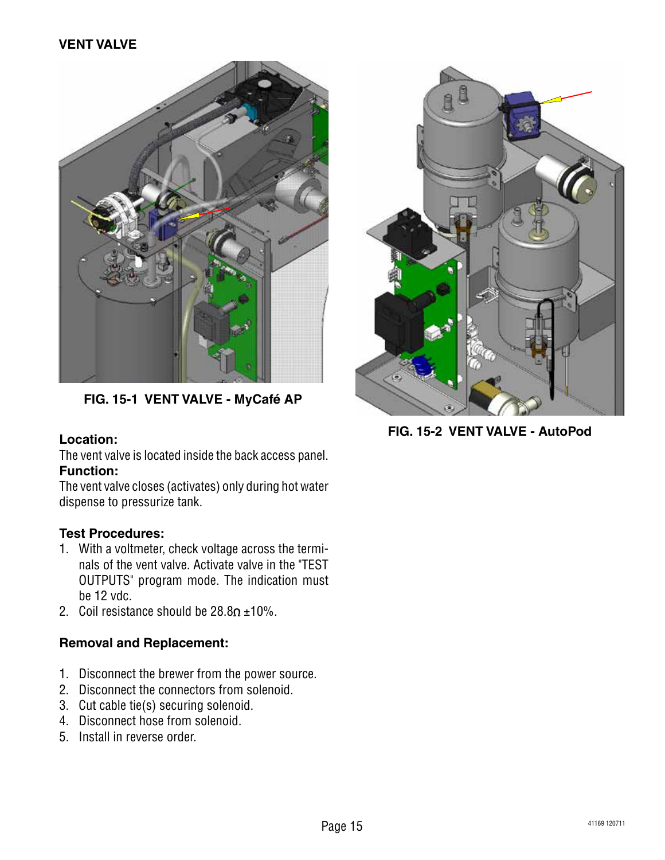

**FIG. 15-1 VENT VALVE - MyCafé AP**

# **Location:**

The vent valve is located inside the back access panel. **Function:**

The vent valve closes (activates) only during hot water dispense to pressurize tank.

# **Test Procedures:**

- 1. With a voltmeter, check voltage across the terminals of the vent valve. Activate valve in the "TEST OUTPUTS" program mode. The indication must be 12 vdc.
- 2. Coil resistance should be  $28.8\Omega \pm 10\%$ .

- 1. Disconnect the brewer from the power source.
- 2. Disconnect the connectors from solenoid.
- 3. Cut cable tie(s) securing solenoid.
- 4. Disconnect hose from solenoid.
- 5. Install in reverse order.



**FIG. 15-2 VENT VALVE - AutoPod**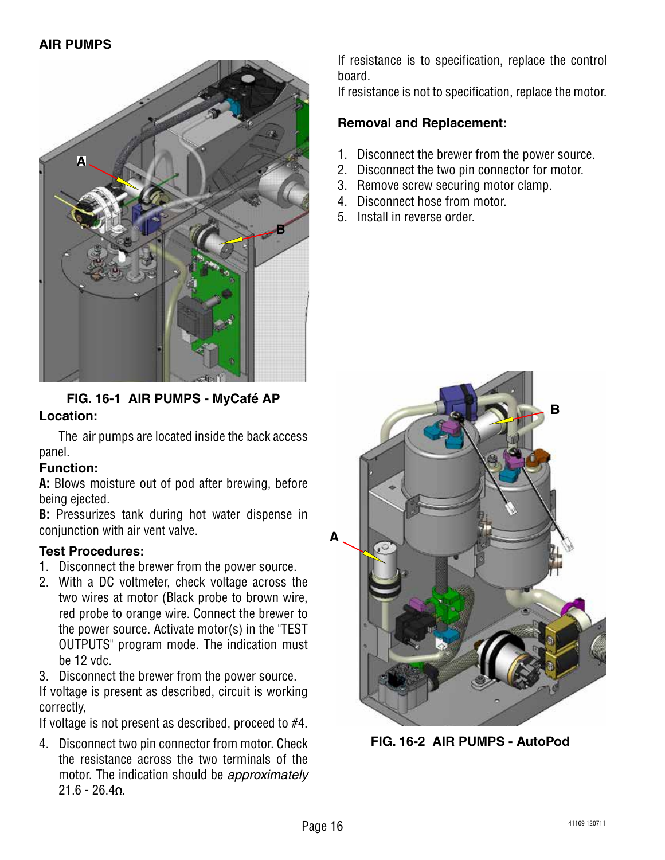

**FIG. 16-1 AIR PUMPS - MyCafé AP**

# **Location:**

The air pumps are located inside the back access panel.

# **Function:**

**A:** Blows moisture out of pod after brewing, before being ejected.

**B:** Pressurizes tank during hot water dispense in conjunction with air vent valve.

# **Test Procedures:**

- 1. Disconnect the brewer from the power source.
- 2. With a DC voltmeter, check voltage across the two wires at motor (Black probe to brown wire, red probe to orange wire. Connect the brewer to the power source. Activate motor(s) in the "TEST OUTPUTS" program mode. The indication must be 12 vdc.
- 3. Disconnect the brewer from the power source.

If voltage is present as described, circuit is working correctly,

If voltage is not present as described, proceed to #4.

4. Disconnect two pin connector from motor. Check the resistance across the two terminals of the motor. The indication should be *approximately*  $21.6 - 26.40$ 

If resistance is to specification, replace the control board.

If resistance is not to specification, replace the motor.

- 1. Disconnect the brewer from the power source.
- 2. Disconnect the two pin connector for motor.
- 3. Remove screw securing motor clamp.
- 4. Disconnect hose from motor.
- 5. Install in reverse order.



**FIG. 16-2 AIR PUMPS - AutoPod**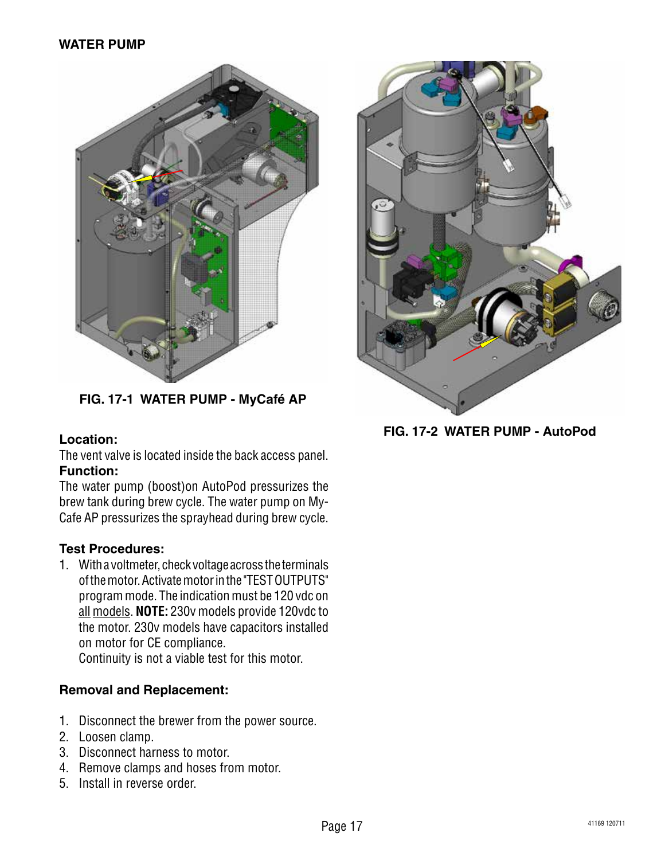

**FIG. 17-1 WATER PUMP - MyCafé AP**

# **Location:**

The vent valve is located inside the back access panel. **Function:**

The water pump (boost)on AutoPod pressurizes the brew tank during brew cycle. The water pump on My-Cafe AP pressurizes the sprayhead during brew cycle.

# **Test Procedures:**

1. With a voltmeter, check voltage across the terminals of the motor. Activate motor in the "TEST OUTPUTS" program mode. The indication must be 120 vdc on all models. **NOTE:** 230v models provide 120vdc to the motor. 230v models have capacitors installed on motor for CE compliance.

Continuity is not a viable test for this motor.

- 1. Disconnect the brewer from the power source.
- 2. Loosen clamp.
- 3. Disconnect harness to motor.
- 4. Remove clamps and hoses from motor.
- 5. Install in reverse order.



**FIG. 17-2 WATER PUMP - AutoPod**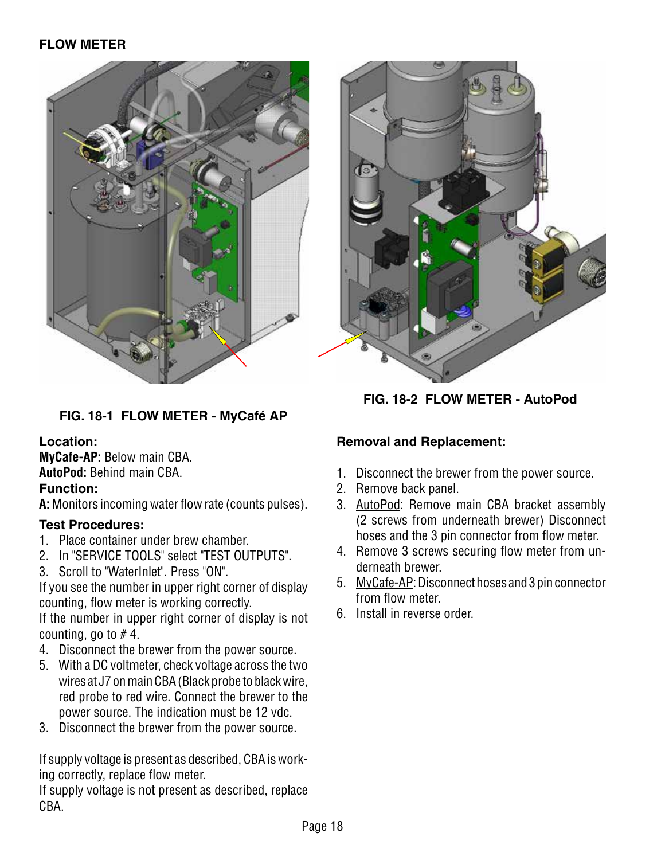

# **FIG. 18-1 FLOW METER - MyCafé AP**

#### **Location:**

**MyCafe-AP:** Below main CBA. **AutoPod:** Behind main CBA.

# **Function:**

**A:** Monitors incoming water flow rate (counts pulses).

# **Test Procedures:**

- 1. Place container under brew chamber.
- 2. In "SERVICE TOOLS" select "TEST OUTPUTS".
- 3. Scroll to "WaterInlet". Press "ON".

If you see the number in upper right corner of display counting, flow meter is working correctly.

If the number in upper right corner of display is not counting, go to  $# 4$ .

- 4. Disconnect the brewer from the power source.
- 5. With a DC voltmeter, check voltage across the two wires at J7 on main CBA (Black probe to black wire, red probe to red wire. Connect the brewer to the power source. The indication must be 12 vdc.
- 3. Disconnect the brewer from the power source.

If supply voltage is present as described, CBA is working correctly, replace flow meter.

If supply voltage is not present as described, replace CBA.



**FIG. 18-2 FLOW METER - AutoPod**

- 1. Disconnect the brewer from the power source.
- 2. Remove back panel.
- 3. AutoPod: Remove main CBA bracket assembly (2 screws from underneath brewer) Disconnect hoses and the 3 pin connector from flow meter.
- 4. Remove 3 screws securing flow meter from underneath brewer.
- 5. MyCafe-AP: Disconnect hoses and 3 pin connector from flow meter.
- 6. Install in reverse order.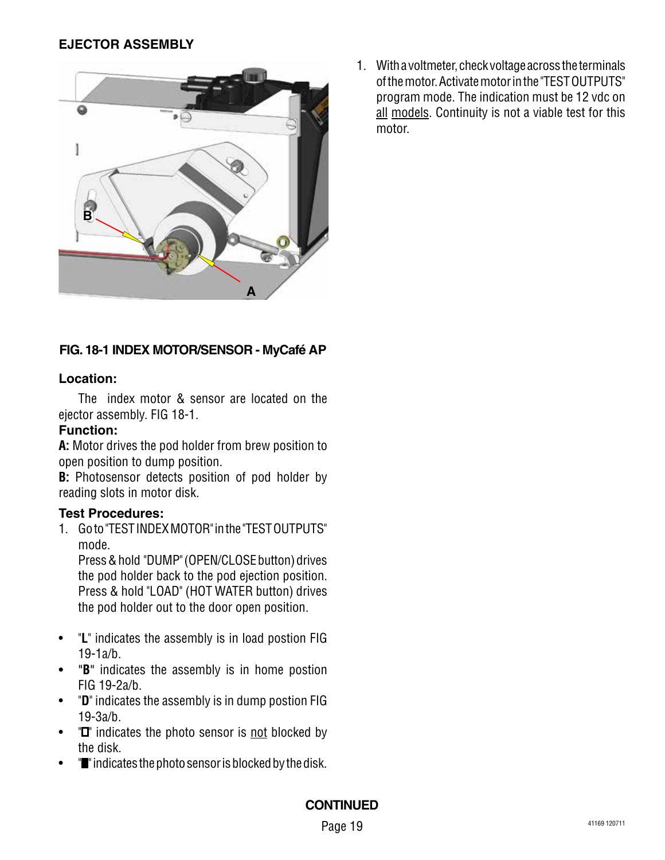

# **FIG. 18-1 INDEX MOTOR/SENSOR - MyCafé AP**

#### **Location:**

The index motor & sensor are located on the ejector assembly. FIG 18-1.

### **Function:**

**A:** Motor drives the pod holder from brew position to open position to dump position.

**B:** Photosensor detects position of pod holder by reading slots in motor disk.

#### **Test Procedures:**

1. Go to "TEST INDEX MOTOR" in the "TEST OUTPUTS" mode.

Press & hold "DUMP" (OPEN/CLOSE button) drives the pod holder back to the pod ejection position. Press & hold "LOAD" (HOT WATER button) drives the pod holder out to the door open position.

- • "**L**" indicates the assembly is in load postion FIG 19-1a/b.
- • "**B**" indicates the assembly is in home postion FIG 19-2a/b.
- • "**D**" indicates the assembly is in dump postion FIG 19-3a/b.
- $\bullet$   $\blacksquare$  indicates the photo sensor is not blocked by the disk.
- "**"** indicates the photo sensor is blocked by the disk.

1. With a voltmeter, check voltage across the terminals of the motor. Activate motor in the "TEST OUTPUTS" program mode. The indication must be 12 vdc on all models. Continuity is not a viable test for this motor.

#### **CONTINUED**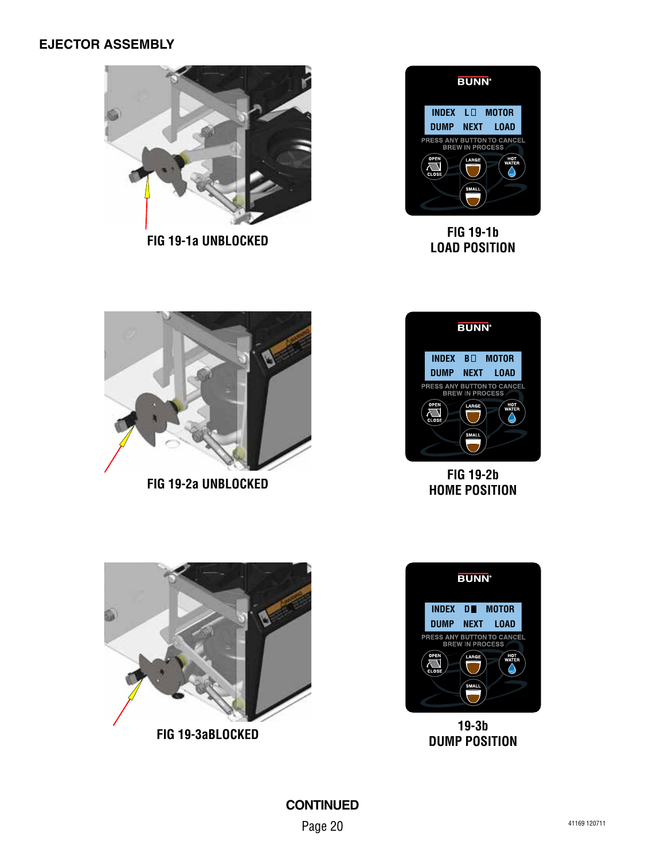

**FIG 19-1b LOAD POSITION FIG 19-1a UNBLOCKED**





**FIG 19-2b HOME POSITION**



**FIG 19-2a UNBLOCKED**



**19-3b DUMP POSITION**



**FIG 19-3aBLOCKED**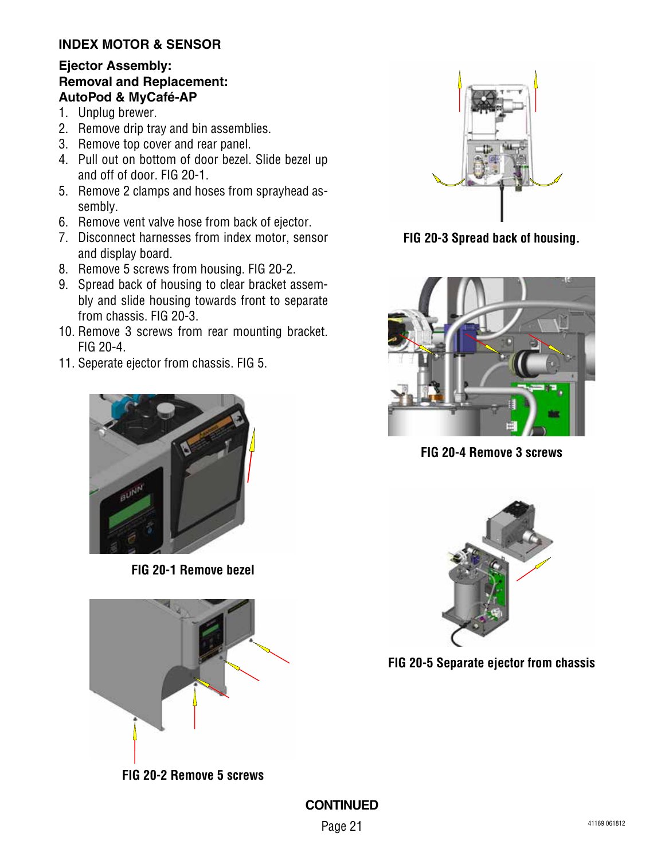# **INDEX MOTOR & SENSOR**

#### **Ejector Assembly: Removal and Replacement: AutoPod & MyCafé-AP**

- 1. Unplug brewer.
- 2. Remove drip tray and bin assemblies.
- 3. Remove top cover and rear panel.
- 4. Pull out on bottom of door bezel. Slide bezel up and off of door. FIG 20-1.
- 5. Remove 2 clamps and hoses from sprayhead assembly.
- 6. Remove vent valve hose from back of ejector.
- 7. Disconnect harnesses from index motor, sensor and display board.
- 8. Remove 5 screws from housing. FIG 20-2.
- 9. Spread back of housing to clear bracket assembly and slide housing towards front to separate from chassis. FIG 20-3.
- 10. Remove 3 screws from rear mounting bracket. FIG 20-4.
- 11. Seperate ejector from chassis. FIG 5.



**FIG 20-1 Remove bezel**



**FIG 20-2 Remove 5 screws**



**FIG 20-3 Spread back of housing.**



**FIG 20-4 Remove 3 screws**



**FIG 20-5 Separate ejector from chassis**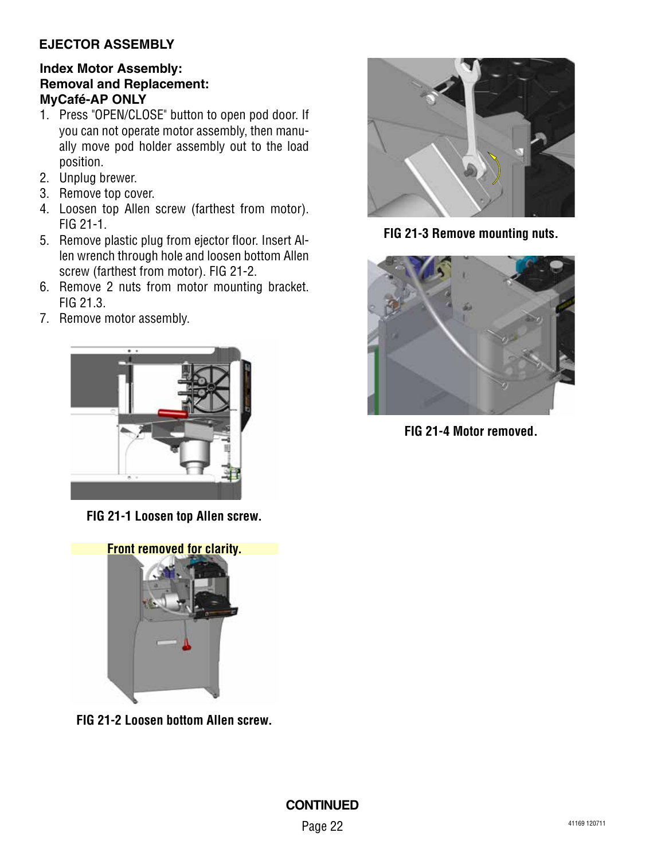#### **Index Motor Assembly: Removal and Replacement: MyCafé-AP ONLY**

- 1. Press "OPEN/CLOSE" button to open pod door. If you can not operate motor assembly, then manually move pod holder assembly out to the load position.
- 2. Unplug brewer.
- 3. Remove top cover.
- 4. Loosen top Allen screw (farthest from motor). FIG 21-1.
- 5. Remove plastic plug from ejector floor. Insert Allen wrench through hole and loosen bottom Allen screw (farthest from motor). FIG 21-2.
- 6. Remove 2 nuts from motor mounting bracket. FIG 21.3.
- 7. Remove motor assembly.



**FIG 21-1 Loosen top Allen screw.**



**FIG 21-2 Loosen bottom Allen screw.**



**FIG 21-3 Remove mounting nuts.**



**FIG 21-4 Motor removed.**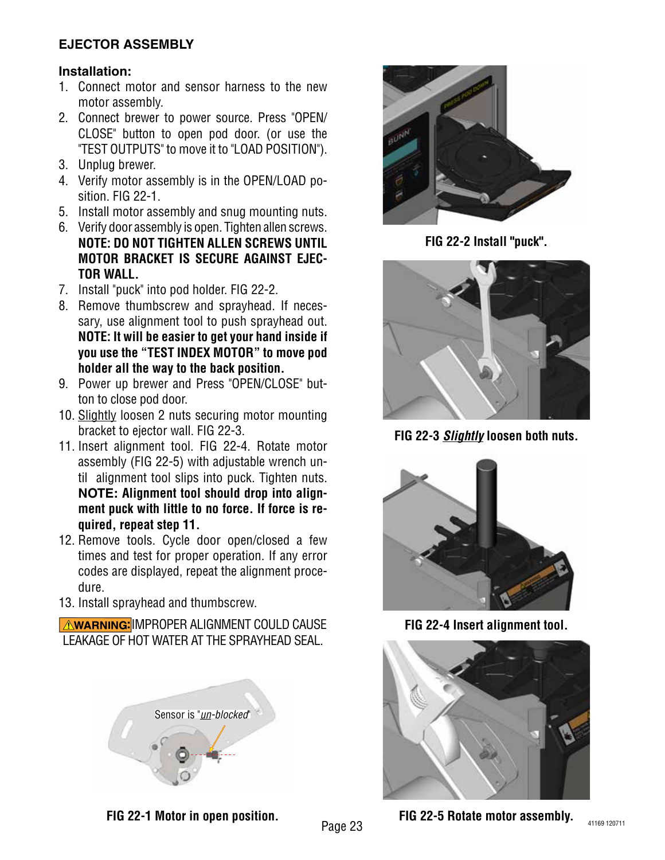#### **Installation:**

- 1. Connect motor and sensor harness to the new motor assembly.
- 2. Connect brewer to power source. Press "OPEN/ CLOSE" button to open pod door. (or use the "TEST OUTPUTS" to move it to "LOAD POSITION").
- 3. Unplug brewer.
- 4. Verify motor assembly is in the OPEN/LOAD position. FIG 22-1.
- 5. Install motor assembly and snug mounting nuts.
- 6. Verify door assembly is open. Tighten allen screws. **NOTE: DO NOT TIGHTEN ALLEN SCREWS UNTIL MOTOR BRACKET IS SECURE AGAINST EJEC-TOR WALL.**
- 7. Install "puck" into pod holder. FIG 22-2.
- 8. Remove thumbscrew and sprayhead. If necessary, use alignment tool to push sprayhead out. **NOTE: It will be easier to get your hand inside if you use the "TEST INDEX MOTOR" to move pod holder all the way to the back position.**
- 9. Power up brewer and Press "OPEN/CLOSE" button to close pod door.
- 10. Slightly loosen 2 nuts securing motor mounting bracket to ejector wall. FIG 22-3.
- 11. Insert alignment tool. FIG 22-4. Rotate motor assembly (FIG 22-5) with adjustable wrench until alignment tool slips into puck. Tighten nuts. **NOTE: Alignment tool should drop into alignment puck with little to no force. If force is required, repeat step 11.**
- 12. Remove tools. Cycle door open/closed a few times and test for proper operation. If any error codes are displayed, repeat the alignment procedure.
- 13. Install sprayhead and thumbscrew.

**AWARNING:** IMPROPER ALIGNMENT COULD CAUSE LEAKAGE OF HOT WATER AT THE SPRAYHEAD SEAL.





**FIG 22-2 Install "puck".**



**FIG 22-3** *Slightly* **loosen both nuts.**



**FIG 22-4 Insert alignment tool.**



**FIG 22-1 Motor in open position.**

**FIG 22-5 Rotate motor assembly.**

Page 23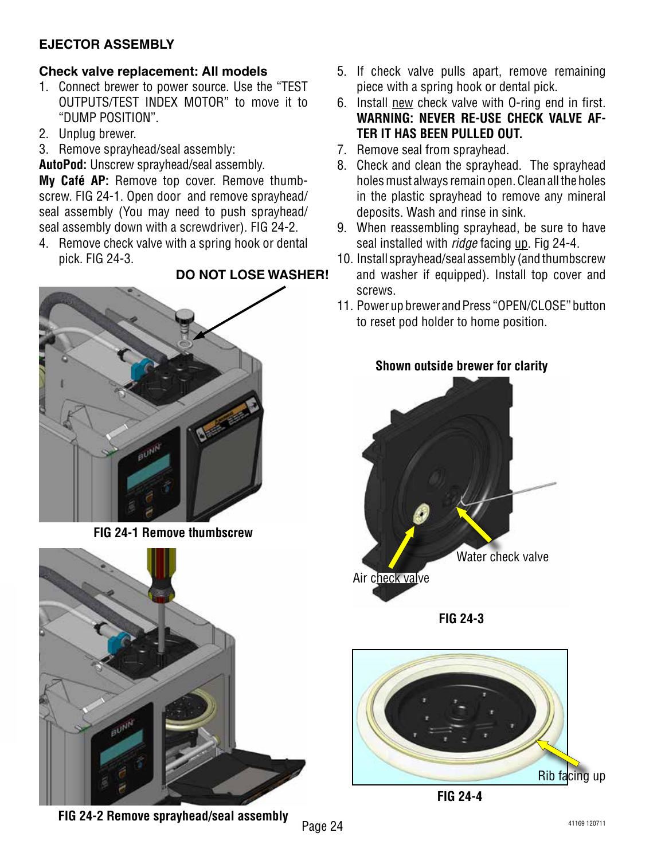# **Check valve replacement: All models**

- 1. Connect brewer to power source. Use the "TEST OUTPUTS/TEST INDEX MOTOR" to move it to "DUMP POSITION".
- 2. Unplug brewer.
- 3. Remove sprayhead/seal assembly:

**AutoPod:** Unscrew sprayhead/seal assembly.

**My Café AP:** Remove top cover. Remove thumbscrew. FIG 24-1. Open door and remove sprayhead/ seal assembly (You may need to push sprayhead/ seal assembly down with a screwdriver). FIG 24-2.

4. Remove check valve with a spring hook or dental pick. FIG 24-3.

# **DO NOT LOSE WASHER!**



**FIG 24-1 Remove thumbscrew**



**Shown outside brewer for clarity**

- 5. If check valve pulls apart, remove remaining piece with a spring hook or dental pick.
- 6. Install new check valve with O-ring end in first. **WARNING: NEVER RE-USE CHECK VALVE AF-TER IT HAS BEEN PULLED OUT.**
- 7. Remove seal from sprayhead.
- 8. Check and clean the sprayhead. The sprayhead holes must always remain open. Clean all the holes in the plastic sprayhead to remove any mineral deposits. Wash and rinse in sink.
- 9. When reassembling sprayhead, be sure to have seal installed with *ridge* facing up. Fig 24-4.
- 10. Install sprayhead/seal assembly (and thumbscrew and washer if equipped). Install top cover and screws.
- 11. Power up brewer and Press "OPEN/CLOSE" button to reset pod holder to home position.









**FIG 24-2 Remove sprayhead/seal assembly**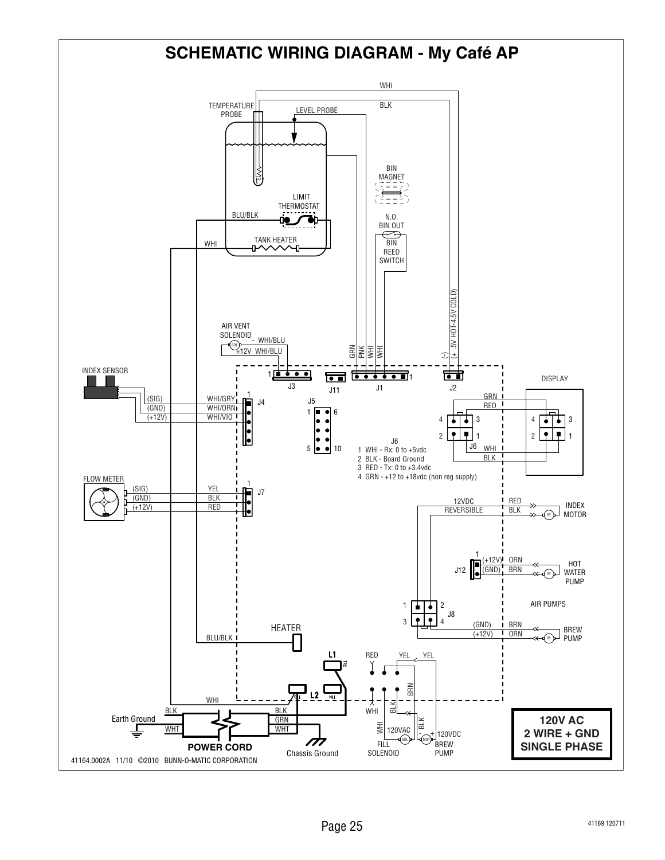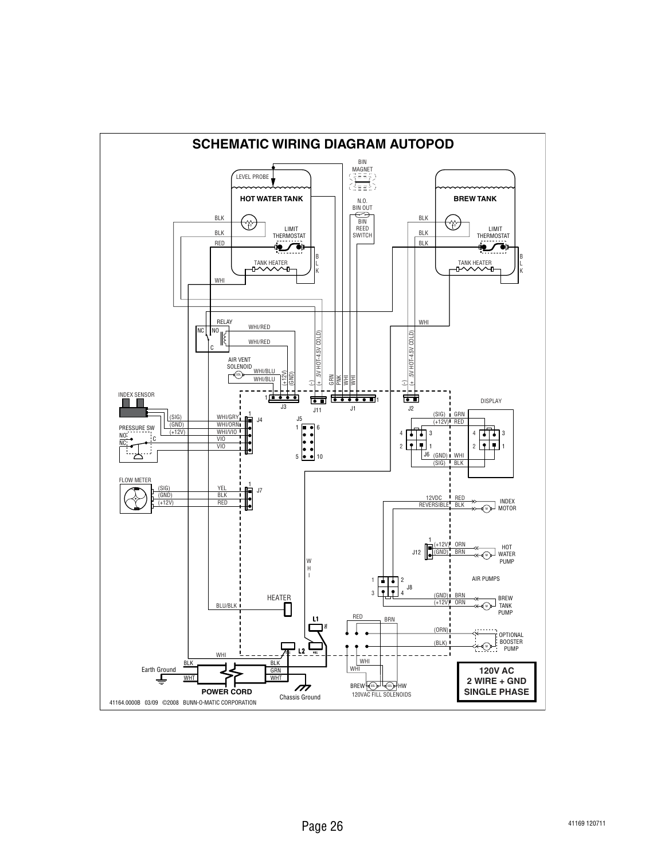